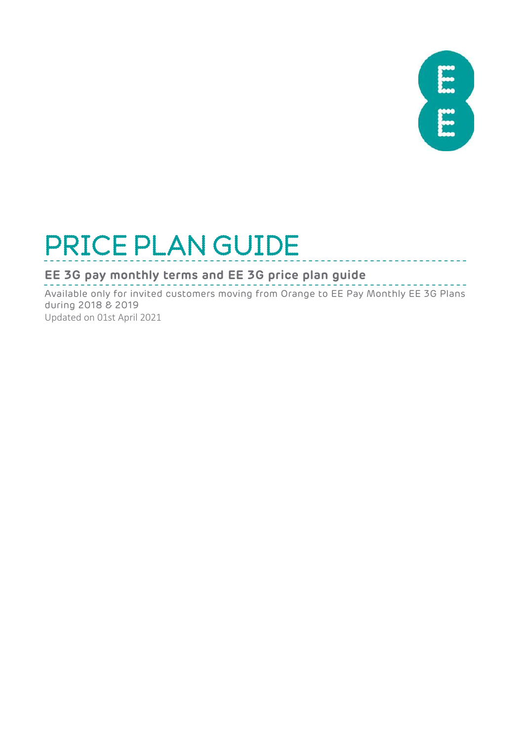

# PRICE PLAN GUIDE

#### **EE 3G pay monthly terms and EE 3G price plan guide**

 $- - -$ Available only for invited customers moving from Orange to EE Pay Monthly EE 3G Plans during 2018 & 2019

Updated on 01st April 2021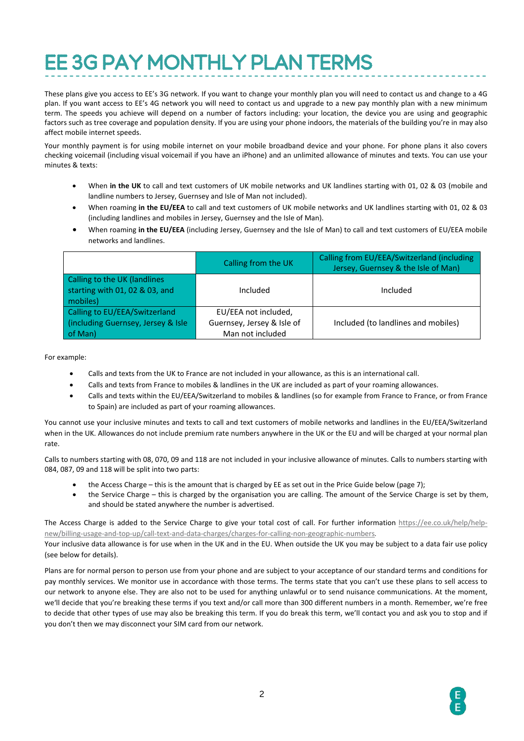## EE 3G PAY MONTHLY PLAN TERMS

These plans give you access to EE's 3G network. If you want to change your monthly plan you will need to contact us and change to a 4G plan. If you want access to EE's 4G network you will need to contact us and upgrade to a new pay monthly plan with a new minimum term. The speeds you achieve will depend on a number of factors including: your location, the device you are using and geographic factors such as tree coverage and population density. If you are using your phone indoors, the materials of the building you're in may also affect mobile internet speeds.

Your monthly payment is for using mobile internet on your mobile broadband device and your phone. For phone plans it also covers checking voicemail (including visual voicemail if you have an iPhone) and an unlimited allowance of minutes and texts. You can use your minutes & texts:

- When **in the UK** to call and text customers of UK mobile networks and UK landlines starting with 01, 02 & 03 (mobile and landline numbers to Jersey, Guernsey and Isle of Man not included).
- When roaming **in the EU/EEA** to call and text customers of UK mobile networks and UK landlines starting with 01, 02 & 03 (including landlines and mobiles in Jersey, Guernsey and the Isle of Man).
- When roaming **in the EU/EEA** (including Jersey, Guernsey and the Isle of Man) to call and text customers of EU/EEA mobile networks and landlines.

|                                                                                | Calling from the UK                                                    | Calling from EU/EEA/Switzerland (including<br>Jersey, Guernsey & the Isle of Man) |
|--------------------------------------------------------------------------------|------------------------------------------------------------------------|-----------------------------------------------------------------------------------|
| Calling to the UK (landlines<br>starting with 01, 02 & 03, and<br>mobiles)     | Included                                                               | Included                                                                          |
| Calling to EU/EEA/Switzerland<br>(including Guernsey, Jersey & Isle<br>of Man) | EU/EEA not included,<br>Guernsey, Jersey & Isle of<br>Man not included | Included (to landlines and mobiles)                                               |

For example:

- Calls and texts from the UK to France are not included in your allowance, as this is an international call.
- Calls and texts from France to mobiles & landlines in the UK are included as part of your roaming allowances.
- Calls and texts within the EU/EEA/Switzerland to mobiles & landlines (so for example from France to France, or from France to Spain) are included as part of your roaming allowances.

You cannot use your inclusive minutes and texts to call and text customers of mobile networks and landlines in the EU/EEA/Switzerland when in the UK. Allowances do not include premium rate numbers anywhere in the UK or the EU and will be charged at your normal plan rate.

Calls to numbers starting with 08, 070, 09 and 118 are not included in your inclusive allowance of minutes. Calls to numbers starting with 084, 087, 09 and 118 will be split into two parts:

- the Access Charge this is the amount that is charged by EE as set out in the Price Guide below (page 7);
- the Service Charge this is charged by the organisation you are calling. The amount of the Service Charge is set by them, and should be stated anywhere the number is advertised.

The Access Charge is added to the Service Charge to give your total cost of call. For further information [https://ee.co.uk/help/help](https://ee.co.uk/help/help-new/billing-usage-and-top-up/call-text-and-data-charges/charges-for-calling-non-geographic-numbers)[new/billing-usage-and-top-up/call-text-and-data-charges/charges-for-calling-non-geographic-numbers.](https://ee.co.uk/help/help-new/billing-usage-and-top-up/call-text-and-data-charges/charges-for-calling-non-geographic-numbers)

Your inclusive data allowance is for use when in the UK and in the EU. When outside the UK you may be subject to a data fair use policy (see below for details).

Plans are for normal person to person use from your phone and are subject to your acceptance of our standard terms and conditions for pay monthly services. We monitor use in accordance with those terms. The terms state that you can't use these plans to sell access to our network to anyone else. They are also not to be used for anything unlawful or to send nuisance communications. At the moment, we'll decide that you're breaking these terms if you text and/or call more than 300 different numbers in a month. Remember, we're free to decide that other types of use may also be breaking this term. If you do break this term, we'll contact you and ask you to stop and if you don't then we may disconnect your SIM card from our network.

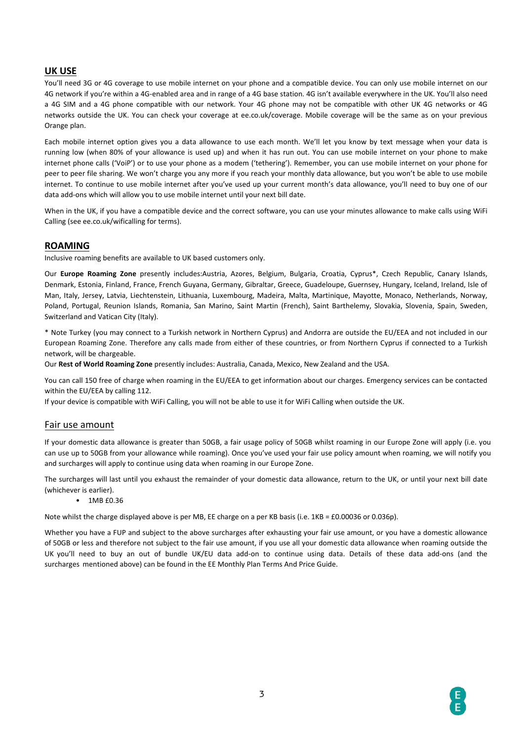#### **UK USE**

You'll need 3G or 4G coverage to use mobile internet on your phone and a compatible device. You can only use mobile internet on our 4G network if you're within a 4G-enabled area and in range of a 4G base station. 4G isn't available everywhere in the UK. You'll also need a 4G SIM and a 4G phone compatible with our network. Your 4G phone may not be compatible with other UK 4G networks or 4G networks outside the UK. You can check your coverage at ee.co.uk/coverage. Mobile coverage will be the same as on your previous Orange plan.

Each mobile internet option gives you a data allowance to use each month. We'll let you know by text message when your data is running low (when 80% of your allowance is used up) and when it has run out. You can use mobile internet on your phone to make internet phone calls ('VoiP') or to use your phone as a modem ('tethering'). Remember, you can use mobile internet on your phone for peer to peer file sharing. We won't charge you any more if you reach your monthly data allowance, but you won't be able to use mobile internet. To continue to use mobile internet after you've used up your current month's data allowance, you'll need to buy one of our data add-ons which will allow you to use mobile internet until your next bill date.

When in the UK, if you have a compatible device and the correct software, you can use your minutes allowance to make calls using WiFi Calling (see ee.co.uk/wificalling for terms).

#### **ROAMING**

Inclusive roaming benefits are available to UK based customers only.

Our **Europe Roaming Zone** presently includes:Austria, Azores, Belgium, Bulgaria, Croatia, Cyprus\*, Czech Republic, Canary Islands, Denmark, Estonia, Finland, France, French Guyana, Germany, Gibraltar, Greece, Guadeloupe, Guernsey, Hungary, Iceland, Ireland, Isle of Man, Italy, Jersey, Latvia, Liechtenstein, Lithuania, Luxembourg, Madeira, Malta, Martinique, Mayotte, Monaco, Netherlands, Norway, Poland, Portugal, Reunion Islands, Romania, San Marino, Saint Martin (French), Saint Barthelemy, Slovakia, Slovenia, Spain, Sweden, Switzerland and Vatican City (Italy).

\* Note Turkey (you may connect to a Turkish network in Northern Cyprus) and Andorra are outside the EU/EEA and not included in our European Roaming Zone. Therefore any calls made from either of these countries, or from Northern Cyprus if connected to a Turkish network, will be chargeable.

Our **Rest of World Roaming Zone** presently includes: Australia, Canada, Mexico, New Zealand and the USA.

You can call 150 free of charge when roaming in the EU/EEA to get information about our charges. Emergency services can be contacted within the EU/EEA by calling 112.

If your device is compatible with WiFi Calling, you will not be able to use it for WiFi Calling when outside the UK.

#### Fair use amount

If your domestic data allowance is greater than 50GB, a fair usage policy of 50GB whilst roaming in our Europe Zone will apply (i.e. you can use up to 50GB from your allowance while roaming). Once you've used your fair use policy amount when roaming, we will notify you and surcharges will apply to continue using data when roaming in our Europe Zone.

The surcharges will last until you exhaust the remainder of your domestic data allowance, return to the UK, or until your next bill date (whichever is earlier).

#### • 1MB £0.36

Note whilst the charge displayed above is per MB, EE charge on a per KB basis (i.e. 1KB = £0.00036 or 0.036p).

Whether you have a FUP and subject to the above surcharges after exhausting your fair use amount, or you have a domestic allowance of 50GB or less and therefore not subject to the fair use amount, if you use all your domestic data allowance when roaming outside the UK you'll need to buy an out of bundle UK/EU data add-on to continue using data. Details of these data add-ons (and the surcharges mentioned above) can be found in the EE Monthly Plan Terms And Price Guide.

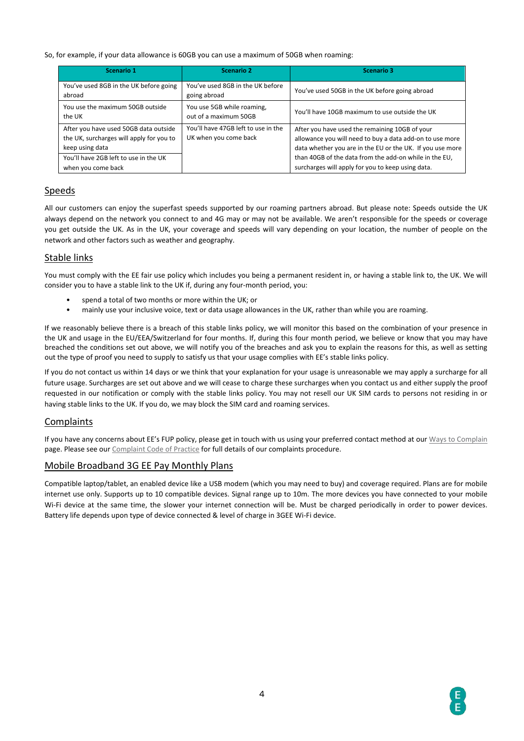#### So, for example, if your data allowance is 60GB you can use a maximum of 50GB when roaming:

| Scenario 1                                                                                           | <b>Scenario 2</b>                                            | Scenario 3                                                                                                                                                              |  |
|------------------------------------------------------------------------------------------------------|--------------------------------------------------------------|-------------------------------------------------------------------------------------------------------------------------------------------------------------------------|--|
| You've used 8GB in the UK before going<br>abroad                                                     | You've used 8GB in the UK before<br>going abroad             | You've used 50GB in the UK before going abroad                                                                                                                          |  |
| You use the maximum 50GB outside<br>the UK                                                           | You use 5GB while roaming,<br>out of a maximum 50GB          | You'll have 10GB maximum to use outside the UK                                                                                                                          |  |
| After you have used 50GB data outside<br>the UK, surcharges will apply for you to<br>keep using data | You'll have 47GB left to use in the<br>UK when you come back | After you have used the remaining 10GB of your<br>allowance you will need to buy a data add-on to use more<br>data whether you are in the EU or the UK. If you use more |  |
| You'll have 2GB left to use in the UK<br>when you come back                                          |                                                              | than 40GB of the data from the add-on while in the EU,<br>surcharges will apply for you to keep using data.                                                             |  |

#### Speeds

All our customers can enjoy the superfast speeds supported by our roaming partners abroad. But please note: Speeds outside the UK always depend on the network you connect to and 4G may or may not be available. We aren't responsible for the speeds or coverage you get outside the UK. As in the UK, your coverage and speeds will vary depending on your location, the number of people on the network and other factors such as weather and geography.

#### Stable links

You must comply with the EE fair use policy which includes you being a permanent resident in, or having a stable link to, the UK. We will consider you to have a stable link to the UK if, during any four-month period, you:

- spend a total of two months or more within the UK; or
- mainly use your inclusive voice, text or data usage allowances in the UK, rather than while you are roaming.

If we reasonably believe there is a breach of this stable links policy, we will monitor this based on the combination of your presence in the UK and usage in the EU/EEA/Switzerland for four months. If, during this four month period, we believe or know that you may have breached the conditions set out above, we will notify you of the breaches and ask you to explain the reasons for this, as well as setting out the type of proof you need to supply to satisfy us that your usage complies with EE's stable links policy.

If you do not contact us within 14 days or we think that your explanation for your usage is unreasonable we may apply a surcharge for all future usage. Surcharges are set out above and we will cease to charge these surcharges when you contact us and either supply the proof requested in our notification or comply with the stable links policy. You may not resell our UK SIM cards to persons not residing in or having stable links to the UK. If you do, we may block the SIM card and roaming services.

#### Complaints

If you have any concerns about EE's FUP policy, please get in touch with us using your preferred contact method at ou[r Ways to Complain](https://ee.co.uk/help/help-new/make-a-complaint) page. Please see ou[r Complaint Code of Practice](https://ee.co.uk/help/help-new/safety-and-security/protecting-your-information/complaints-code-of-practice) for full details of our complaints procedure.

#### Mobile Broadband 3G EE Pay Monthly Plans

Compatible laptop/tablet, an enabled device like a USB modem (which you may need to buy) and coverage required. Plans are for mobile internet use only. Supports up to 10 compatible devices. Signal range up to 10m. The more devices you have connected to your mobile Wi-Fi device at the same time, the slower your internet connection will be. Must be charged periodically in order to power devices. Battery life depends upon type of device connected & level of charge in 3GEE Wi-Fi device.

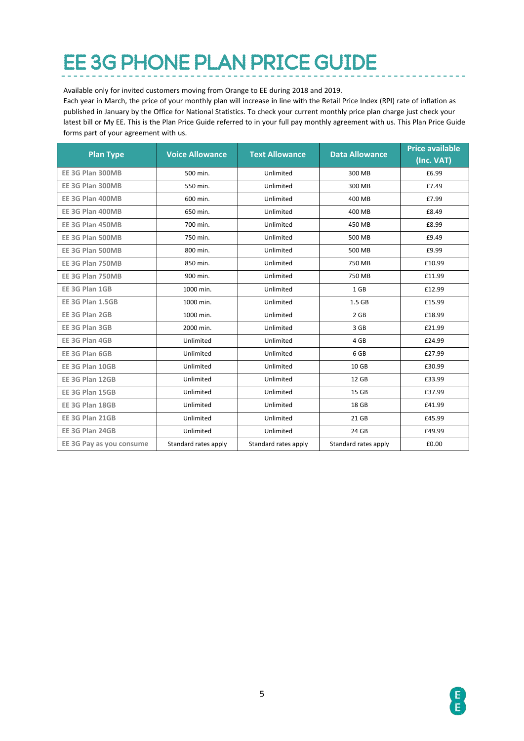### EE 3G PHONE PLAN PRICE GUIDE

Available only for invited customers moving from Orange to EE during 2018 and 2019.

Each year in March, the price of your monthly plan will increase in line with the Retail Price Index (RPI) rate of inflation as published in January by the Office for National Statistics. To check your current monthly price plan charge just check your latest bill or My EE. This is the Plan Price Guide referred to in your full pay monthly agreement with us. This Plan Price Guide forms part of your agreement with us.

| <b>Plan Type</b>         | <b>Voice Allowance</b> | <b>Text Allowance</b> | <b>Data Allowance</b> | <b>Price available</b> |
|--------------------------|------------------------|-----------------------|-----------------------|------------------------|
|                          |                        |                       |                       | (Inc. VAT)             |
| EE 3G Plan 300MB         | 500 min.               | Unlimited             | 300 MB                | £6.99                  |
| EE 3G Plan 300MB         | 550 min.               | Unlimited             | 300 MB                | £7.49                  |
| EE 3G Plan 400MB         | 600 min.               | Unlimited             | 400 MB                | £7.99                  |
| EE 3G Plan 400MB         | 650 min.               | Unlimited             | 400 MB                | £8.49                  |
| EE 3G Plan 450MB         | 700 min.               | Unlimited             | 450 MB                | £8.99                  |
| EE 3G Plan 500MB         | 750 min.               | Unlimited             | 500 MB                | £9.49                  |
| EE 3G Plan 500MB         | 800 min.               | Unlimited             | 500 MB                | £9.99                  |
| EE 3G Plan 750MB         | 850 min.               | Unlimited             | 750 MB                | £10.99                 |
| EE 3G Plan 750MB         | 900 min.               | Unlimited             | 750 MB                | £11.99                 |
| EE 3G Plan 1GB           | 1000 min.              | Unlimited             | 1 GB                  | £12.99                 |
| EE 3G Plan 1.5GB         | 1000 min.              | Unlimited             | 1.5 <sub>GB</sub>     | £15.99                 |
| EE 3G Plan 2GB           | 1000 min.              | Unlimited             | 2 GB                  | £18.99                 |
| EE 3G Plan 3GB           | 2000 min.              | Unlimited             | 3 GB                  | £21.99                 |
| EE 3G Plan 4GB           | Unlimited              | Unlimited             | 4 GB                  | £24.99                 |
| EE 3G Plan 6GB           | Unlimited              | Unlimited             | 6 GB                  | £27.99                 |
| EE 3G Plan 10GB          | Unlimited              | Unlimited             | 10 GB                 | £30.99                 |
| EE 3G Plan 12GB          | Unlimited              | Unlimited             | 12 GB                 | £33.99                 |
| EE 3G Plan 15GB          | Unlimited              | Unlimited             | 15 GB                 | £37.99                 |
| EE 3G Plan 18GB          | Unlimited              | Unlimited             | 18 GB                 | £41.99                 |
| EE 3G Plan 21GB          | Unlimited              | Unlimited             | 21 GB                 | £45.99                 |
| EE 3G Plan 24GB          | Unlimited              | Unlimited             | 24 GB                 | £49.99                 |
| EE 3G Pay as you consume | Standard rates apply   | Standard rates apply  | Standard rates apply  | £0.00                  |

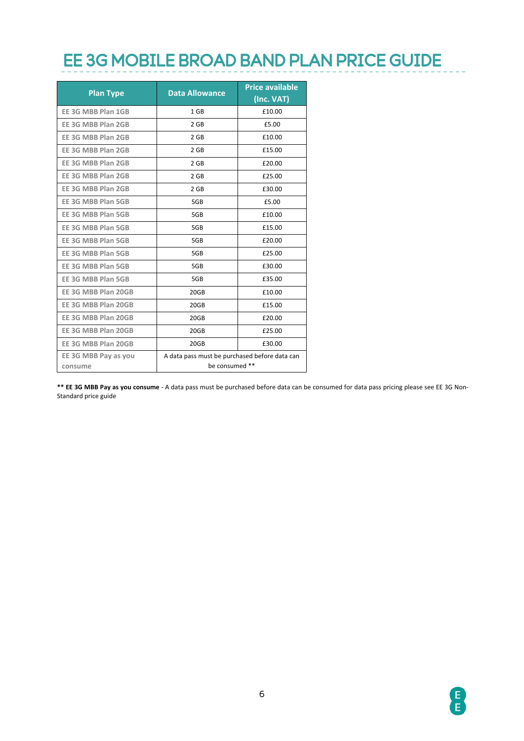### EE 3G MOBILE BROAD BAND PLAN PRICE GUIDE

| <b>Plan Type</b>                | <b>Data Allowance</b>                                           | <b>Price available</b><br>(Inc. VAT) |  |
|---------------------------------|-----------------------------------------------------------------|--------------------------------------|--|
| EE 3G MBB Plan 1GB              | 1 <sub>GB</sub>                                                 | £10.00                               |  |
| EE 3G MBB Plan 2GB              | 2 GB                                                            | £5.00                                |  |
| EE 3G MBB Plan 2GB              | 2 GB                                                            | £10.00                               |  |
| EE 3G MBB Plan 2GB              | $2$ GB                                                          | £15.00                               |  |
| EE 3G MBB Plan 2GB              | 2 GB                                                            | £20.00                               |  |
| EE 3G MBB Plan 2GB              | $2$ GB                                                          | £25.00                               |  |
| EE 3G MBB Plan 2GB              | 2 GB                                                            | £30.00                               |  |
| EE 3G MBB Plan 5GB              | 5GB                                                             | £5.00                                |  |
| EE 3G MBB Plan 5GB              | 5GB                                                             | £10.00                               |  |
| EE 3G MBB Plan 5GB              | 5GB                                                             | £15.00                               |  |
| EE 3G MBB Plan 5GB              | 5GB                                                             | £20.00                               |  |
| EE 3G MBB Plan 5GB              | 5GB                                                             | £25.00                               |  |
| EE 3G MBB Plan 5GB              | 5GB                                                             | £30.00                               |  |
| EE 3G MBB Plan 5GB              | 5GB                                                             | £35.00                               |  |
| EE 3G MBB Plan 20GB             | 20GB                                                            | £10.00                               |  |
| EE 3G MBB Plan 20GB             | 20GB                                                            | £15.00                               |  |
| EE 3G MBB Plan 20GB             | 20GB                                                            | £20.00                               |  |
| EE 3G MBB Plan 20GB             | 20GB                                                            | £25.00                               |  |
| EE 3G MBB Plan 20GB             | 20GB                                                            | £30.00                               |  |
| EE 3G MBB Pay as you<br>consume | A data pass must be purchased before data can<br>be consumed ** |                                      |  |

**\*\* EE 3G MBB Pay as you consume** - A data pass must be purchased before data can be consumed for data pass pricing please see EE 3G Non-Standard price guide

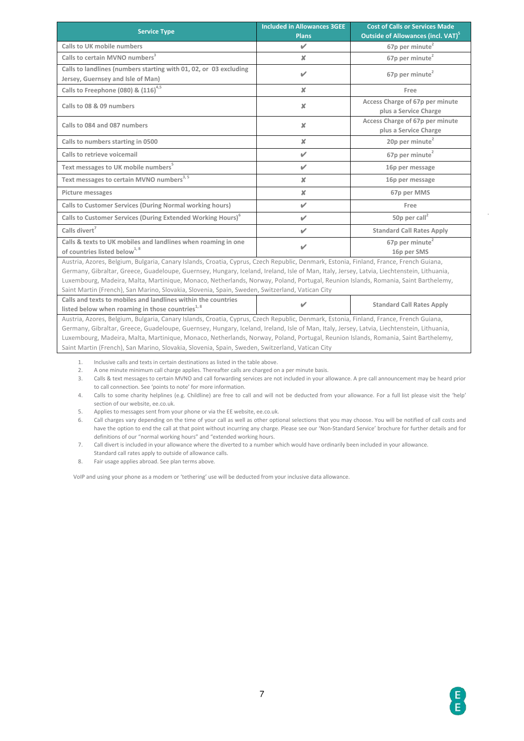| <b>Service Type</b>                                                                                                                                                                                                                                                                                                                                                                                                                                                                                                           | <b>Included in Allowances 3GEE</b><br><b>Plans</b> | <b>Cost of Calls or Services Made</b><br>Outside of Allowances (incl. VAT) <sup>5</sup> |  |  |
|-------------------------------------------------------------------------------------------------------------------------------------------------------------------------------------------------------------------------------------------------------------------------------------------------------------------------------------------------------------------------------------------------------------------------------------------------------------------------------------------------------------------------------|----------------------------------------------------|-----------------------------------------------------------------------------------------|--|--|
| Calls to UK mobile numbers                                                                                                                                                                                                                                                                                                                                                                                                                                                                                                    | V                                                  | 67p per minute <sup>2</sup>                                                             |  |  |
| Calls to certain MVNO numbers <sup>3</sup>                                                                                                                                                                                                                                                                                                                                                                                                                                                                                    | x                                                  | 67p per minute <sup>2</sup>                                                             |  |  |
| Calls to landlines (numbers starting with 01, 02, or 03 excluding<br>Jersey, Guernsey and Isle of Man)                                                                                                                                                                                                                                                                                                                                                                                                                        | ✔                                                  | 67p per minute <sup>2</sup>                                                             |  |  |
| Calls to Freephone (080) & $(116)^{4,5}$                                                                                                                                                                                                                                                                                                                                                                                                                                                                                      | ×                                                  | Free                                                                                    |  |  |
| Calls to 08 & 09 numbers                                                                                                                                                                                                                                                                                                                                                                                                                                                                                                      | ×                                                  | Access Charge of 67p per minute<br>plus a Service Charge                                |  |  |
| Calls to 084 and 087 numbers                                                                                                                                                                                                                                                                                                                                                                                                                                                                                                  | $\pmb{\times}$                                     | Access Charge of 67p per minute<br>plus a Service Charge                                |  |  |
| Calls to numbers starting in 0500                                                                                                                                                                                                                                                                                                                                                                                                                                                                                             | ×                                                  | 20p per minute <sup>2</sup>                                                             |  |  |
| Calls to retrieve voicemail                                                                                                                                                                                                                                                                                                                                                                                                                                                                                                   | V                                                  | 67p per minute <sup>2</sup>                                                             |  |  |
| Text messages to UK mobile numbers <sup>5</sup>                                                                                                                                                                                                                                                                                                                                                                                                                                                                               | V                                                  | 16p per message                                                                         |  |  |
| Text messages to certain MVNO numbers <sup>3, 5</sup>                                                                                                                                                                                                                                                                                                                                                                                                                                                                         | $\pmb{\times}$                                     | 16p per message                                                                         |  |  |
| Picture messages                                                                                                                                                                                                                                                                                                                                                                                                                                                                                                              | $\pmb{\times}$                                     | 67p per MMS                                                                             |  |  |
| Calls to Customer Services (During Normal working hours)                                                                                                                                                                                                                                                                                                                                                                                                                                                                      | V                                                  | Free                                                                                    |  |  |
| Calls to Customer Services (During Extended Working Hours) <sup>6</sup>                                                                                                                                                                                                                                                                                                                                                                                                                                                       | ✔                                                  | 50p per call <sup>2</sup>                                                               |  |  |
| Calls divert <sup>7</sup>                                                                                                                                                                                                                                                                                                                                                                                                                                                                                                     | ✔                                                  | <b>Standard Call Rates Apply</b>                                                        |  |  |
| Calls & texts to UK mobiles and landlines when roaming in one<br>of countries listed below <sup>1, 8</sup>                                                                                                                                                                                                                                                                                                                                                                                                                    | V                                                  | 67p per minute <sup>2</sup><br>16p per SMS                                              |  |  |
| Austria, Azores, Belgium, Bulgaria, Canary Islands, Croatia, Cyprus, Czech Republic, Denmark, Estonia, Finland, France, French Guiana,<br>Germany, Gibraltar, Greece, Guadeloupe, Guernsey, Hungary, Iceland, Ireland, Isle of Man, Italy, Jersey, Latvia, Liechtenstein, Lithuania,<br>Luxembourg, Madeira, Malta, Martinique, Monaco, Netherlands, Norway, Poland, Portugal, Reunion Islands, Romania, Saint Barthelemy,<br>Saint Martin (French), San Marino, Slovakia, Slovenia, Spain, Sweden, Switzerland, Vatican City |                                                    |                                                                                         |  |  |
| Calls and texts to mobiles and landlines within the countries<br>listed below when roaming in those countries <sup>1, 8</sup>                                                                                                                                                                                                                                                                                                                                                                                                 |                                                    | <b>Standard Call Rates Apply</b>                                                        |  |  |
| Austria, Azores, Belgium, Bulgaria, Canary Islands, Croatia, Cyprus, Czech Republic, Denmark, Estonia, Finland, France, French Guiana,<br>Germany, Gibraltar, Greece, Guadeloupe, Guernsey, Hungary, Iceland, Ireland, Isle of Man, Italy, Jersey, Latvia, Liechtenstein, Lithuania,<br>Luxembourg, Madeira, Malta, Martinique, Monaco, Netherlands, Norway, Poland, Portugal, Reunion Islands, Romania, Saint Barthelemy,<br>Saint Martin (French), San Marino, Slovakia, Slovenia, Spain, Sweden, Switzerland, Vatican City |                                                    |                                                                                         |  |  |

1. Inclusive calls and texts in certain destinations as listed in the table above.<br>2. A one minute minimum call charge applies. Thereafter calls are charged or

2. A one minute minimum call charge applies. Thereafter calls are charged on a per minute basis.

3. Calls & text messages to certain MVNO and call forwarding services are not included in your allowance. A pre call announcement may be heard prior to call connection. See 'points to note' for more information.

4. Calls to some charity helplines (e.g. Childline) are free to call and will not be deducted from your allowance. For a full list please visit the 'help' section of our website, ee.co.uk.

5. Applies to messages sent from your phone or via the EE website, ee.co.uk.

6. Call charges vary depending on the time of your call as well as other optional selections that you may choose. You will be notified of call costs and have the option to end the call at that point without incurring any charge. Please see our 'Non-Standard Service' brochure for further details and for definitions of our "normal working hours" and "extended working hours.

7. Call divert is included in your allowance where the diverted to a number which would have ordinarily been included in your allowance.

Standard call rates apply to outside of allowance calls. 8. Fair usage applies abroad. See plan terms above.

VoIP and using your phone as a modem or 'tethering' use will be deducted from your inclusive data allowance.